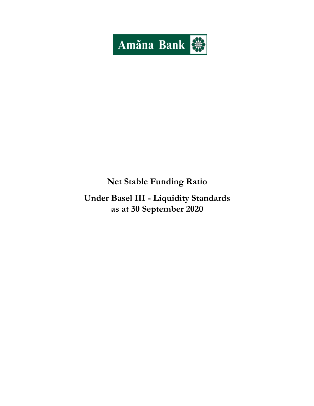

# **Net Stable Funding Ratio**

**Under Basel III - Liquidity Standards as at 30 September 2020**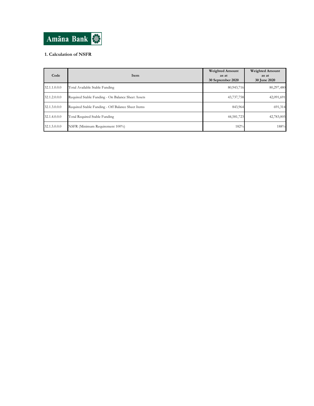

## **1. Calculation of NSFR**

| Code         | Item                                              | <b>Weighted Amount</b><br>as at<br>30 September 2020 | <b>Weighted Amount</b><br>as at<br><b>30 June 2020</b> |
|--------------|---------------------------------------------------|------------------------------------------------------|--------------------------------------------------------|
| 32.1.1.0.0.0 | Total Available Stable Funding                    | 80,943,716                                           | 80,297,480                                             |
| 32.1.2.0.0.0 | Required Stable Funding - On Balance Sheet Assets | 43,737,758                                           | 42,091,691                                             |
| 32.1.3.0.0.0 | Required Stable Funding - Off Balance Sheet Items | 843,964                                              | 691,314                                                |
| 32.1.4.0.0.0 | Total Required Stable Funding                     | 44,581,723                                           | 42,783,005                                             |
| 32.1.5.0.0.0 | NSFR (Minimum Requirement 100%)                   | 182%                                                 | 188%                                                   |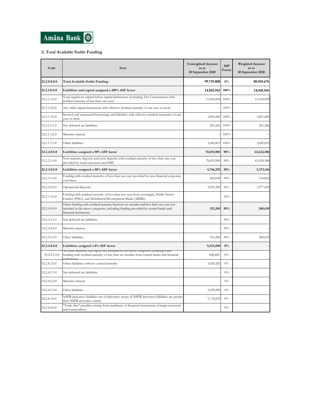

### **2. Total Available Stable Funding**

| Code         | Item                                                                                                                                                                                              | <b>Unweighted Amount</b><br>as at<br>30 September 2020 | <b>ASF</b><br>Factor | Weighted Amount<br>as at<br>30 September 2020 |
|--------------|---------------------------------------------------------------------------------------------------------------------------------------------------------------------------------------------------|--------------------------------------------------------|----------------------|-----------------------------------------------|
| 32.2.0.0.0.0 | <b>Total Available Stable Funding</b>                                                                                                                                                             | 99,739,808                                             | $0\%$                | 80,943,676                                    |
| 32.2.1.0.0.0 | Liabilities and capital assigned a 100% ASF factor                                                                                                                                                | 14,945,943                                             | 100%                 | 14,945,943                                    |
| 32.2.1.1.0.0 | Total regulatory capital before capital deductions (excluding Tier 2 instruments with<br>residual maturity of less than one year)                                                                 | 11,054,858                                             | 100%                 | 11,054,858                                    |
| 32.2.1.2.0.0 | Any other capital instrument with effective residual maturity of one year or more                                                                                                                 |                                                        | 100%                 |                                               |
| 32.2.1.3.0.0 | Secured and unsecured borrowings and liabilities with effective residual maturities of one<br>vear or more                                                                                        | 3,891,085                                              | 100%                 | 3,891,085                                     |
| 32.2.1.3.1.0 | Net deferred tax liabilities                                                                                                                                                                      | 201,266                                                | 100%                 | 201,266                                       |
| 32.2.1.3.2.0 | Minority interest                                                                                                                                                                                 |                                                        | 100%                 |                                               |
| 32.2.1.3.3.0 | Other liabilities                                                                                                                                                                                 | 3,689,819                                              | 100%                 | 3,689,819                                     |
| 32.2.2.0.0.0 | Liabilities assigned a 90% ASF factor                                                                                                                                                             | 70,693,985                                             | 90%                  | 63,624,586                                    |
| 32.2.2.1.0.0 | Non-maturity deposits and term deposits with residual maturity of less than one year<br>provided by retail customers and SME                                                                      | 70,693,985                                             | 90%                  | 63,624,586                                    |
| 32.2.3.0.0.0 | Liabilities assigned a 50% ASF factor                                                                                                                                                             | 4,746,292                                              | 50%                  | 2,373,146                                     |
| 32.2.3.1.0.0 | Funding with residual maturity of less than one year provided by non-financial corporate<br>customers                                                                                             | 269,644                                                | 50%                  | 134,822                                       |
| 32.2.3.2.0.0 | Operational deposits                                                                                                                                                                              | 3,955,389                                              | 50%                  | 1,977,694                                     |
| 32.2.3.3.0.0 | Funding with residual maturity of less than one year from sovereigns, Public Sector<br>Entities (PSEs), and Multilateral Development Banks (MDBs)                                                 |                                                        | 50%                  |                                               |
| 32.2.3.4.0.0 | Other funding with residual maturity between six months and less than one year not<br>included in the above categories, including funding provided by central banks and<br>financial institutions | 521,260                                                | 50%                  | 260,630                                       |
| 32.2.3.4.1.0 | Net deferred tax liabilities                                                                                                                                                                      |                                                        | 50%                  |                                               |
| 32.2.3.4.2.0 | Minority interest                                                                                                                                                                                 |                                                        | 50%                  |                                               |
| 32.2.3.4.3.0 | Other liabilities                                                                                                                                                                                 | 521,260                                                | 50%                  | 260,630                                       |
| 32.2.4.0.0.0 | Liabilities assigned a 0% ASF factor                                                                                                                                                              | 9,353,588                                              | 0%                   |                                               |
| 32.2.4.1.0.0 | Air other nabinues and equity not included in the above categories including other<br>funding with residual maturity of less than six months from central banks and financial                     | 188,482                                                | $0\%$                |                                               |
| 32.2.4.2.0.0 | Other liabilities without a stated maturity                                                                                                                                                       | 3,429,282                                              | $0\%$                |                                               |
| 32.2.4.2.1.0 | Net deferred tax liabilities                                                                                                                                                                      |                                                        | $0\%$                |                                               |
| 32.2.4.2.2.0 | Minority interest                                                                                                                                                                                 |                                                        | $0\%$                |                                               |
| 32.2.4.2.3.0 | Other liabilities                                                                                                                                                                                 | 3,429,282                                              | $0\%$                |                                               |
| 32.2.4.3.0.0 | NSFR derivative liabilities net of derivative assets (if NSFR derivative liabilities are greater<br>than NSFR derivative assets)                                                                  | 5,735,824                                              | $0\%$                |                                               |
| 32.2.4.4.0.0 | "Trade date" payables arising from purchases of financial instruments, foreign currencies<br>and commodities                                                                                      |                                                        | $0\%$                |                                               |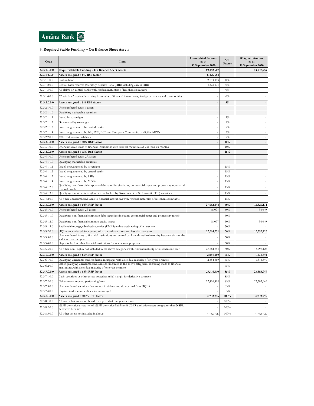

### **3. Required Stable Funding – On Balance Sheet Assets**

| Code                         | Item                                                                                                                                                                           | <b>Unweighted Amount</b><br>as at<br>30 September 2020 | <b>ASF</b><br>Factor | <b>Weighted Amount</b><br>as at<br>30 September 2020 |
|------------------------------|--------------------------------------------------------------------------------------------------------------------------------------------------------------------------------|--------------------------------------------------------|----------------------|------------------------------------------------------|
| 32.3.0.0.0.0                 | Required Stable Funding - On Balance Sheet Assets                                                                                                                              | 69,162,607                                             |                      | 43,737,759                                           |
| 32.3.1.0.0.0                 | Assets assigned a 0% RSF factor                                                                                                                                                | 6,476,684                                              |                      |                                                      |
| 32.3.1.1.0.0                 | Cash in hand                                                                                                                                                                   | 2,153,383                                              | $0\%$                |                                                      |
| 32.3.1.2.0.0                 | Central bank reserves (Statutory Reserve Ratio (SRR) including excess SRR)                                                                                                     | 4,323,301                                              | 0%                   |                                                      |
| 32.3.1.3.0.0                 | All claims on central banks with residual maturities of less than six months                                                                                                   |                                                        | $0\%$                |                                                      |
| 32.3.1.4.0.0                 | Trade date" receivables arising from sales of financial instruments, foreign currencies and commodities                                                                        |                                                        | $0\%$                |                                                      |
| 32.3.2.0.0.0                 | Assets assigned a 5% RSF factor                                                                                                                                                |                                                        | 5%                   |                                                      |
| 32.3.2.1.0.0                 | Unencumbered Level 1 assets                                                                                                                                                    |                                                        |                      |                                                      |
| 32.3.2.1.1.0                 | Qualifying marketable securities                                                                                                                                               |                                                        |                      |                                                      |
| 32.3.2.1.1.1                 | Issued by sovereigns                                                                                                                                                           |                                                        | $5\%$                |                                                      |
| 32.3.2.1.1.2                 | Guaranteed by sovereigns                                                                                                                                                       |                                                        | $5\%$                |                                                      |
| 32.3.2.1.1.3                 | Issued or guaranteed by central banks                                                                                                                                          |                                                        | $5\%$                |                                                      |
| 32.3.2.1.1.4                 | Issued or guaranteed by BIS, IMF, ECB and European Community or eligible MDBs                                                                                                  |                                                        | $5\%$                |                                                      |
| 32.3.2.2.0.0                 | 20% of derivative liabilities                                                                                                                                                  |                                                        | $5\%$                |                                                      |
| 32.3.3.0.0.0                 | Assets assigned a 10% RSF factor                                                                                                                                               |                                                        | 10%                  |                                                      |
| 32.3.3.1.0.0                 | Jnencumbered loans to financial institutions with residual maturities of less than six months                                                                                  |                                                        | 10%                  |                                                      |
| 32.3.4.0.0.0                 | Assets assigned a 15% RSF factor                                                                                                                                               |                                                        | 15%                  |                                                      |
| 32.3.4.1.0.0                 | Unencumbered Level 2A assets                                                                                                                                                   |                                                        |                      |                                                      |
| 32.3.4.1.1.0                 | Qualifying marketable securities                                                                                                                                               |                                                        |                      |                                                      |
| 32.3.4.1.1.1                 | Issued or guaranteed by sovereigns                                                                                                                                             |                                                        | 15%                  |                                                      |
| 32.3.4.1.1.2                 | Issued or guaranteed by central banks                                                                                                                                          |                                                        | 15%                  |                                                      |
| 32.3.4.1.1.3                 | Issued or guaranteed by PSEs                                                                                                                                                   |                                                        | $15\%$               |                                                      |
| 32.3.4.1.1.4                 | Issued or guaranteed by MDBs                                                                                                                                                   |                                                        | 15%                  |                                                      |
| 32.3.4.1.2.0                 | Qualifying non-financial corporate debt securities (including commercial paper and promissory notes) and<br>covered bonds                                                      |                                                        | 15%                  |                                                      |
| 32.3.4.1.3.0                 | Qualifying investments in gilt unit trust backed by Government of Sri Lanka (GOSL) securities                                                                                  |                                                        | 15%                  |                                                      |
| 32.3.4.2.0.0                 | All other unencumbered loans to financial institutions with residual maturities of less than six months                                                                        |                                                        | 15%                  |                                                      |
| 32.3.5.0.0.0                 | Assets assigned a 50% RSF factor                                                                                                                                               | 27,652,348                                             | 50%                  | 13,826,174                                           |
| 32.3.5.1.0.0                 | Unencumbered Level 2B assets                                                                                                                                                   | 68,097                                                 | 50%                  | 34,049                                               |
| 32.3.5.1.1.0                 | Qualifying non-financial corporate debt securities (including commercial paper and promissory notes)                                                                           |                                                        | 50%                  |                                                      |
| 32.3.5.1.2.0                 | Qualifying non-financial common equity shares                                                                                                                                  | 68,097                                                 | 50%                  | 34,049                                               |
| 32.3.5.1.3.0                 | Residential mortgage backed securities (RMBS) with a credit rating of at least AA                                                                                              |                                                        | 50%                  |                                                      |
| 32.3.5.2.0.0                 | HQLA encumbered for a period of six months or more and less than one year                                                                                                      | 27,584,251                                             | 50%                  | 13,792,125                                           |
| 32.3.5.3.0.0                 | Unencumbered loans to financial institutions and central banks with residual maturity between six months                                                                       |                                                        | 50%                  |                                                      |
|                              | and less than one vear                                                                                                                                                         |                                                        |                      |                                                      |
| 32.3.5.4.0.0<br>32.3.5.5.0.0 | Deposits held at other financial institutions for operational purposes<br>All other non HQLA not included in the above categories with residual maturity of less than one year | 27,584,251                                             | 50%<br>50%           | 13,792,125                                           |
| 32.3.6.0.0.0                 | Assets assigned a 65% RSF factor                                                                                                                                               | 2,884,369                                              | 65%                  | 1,874,840                                            |
| 32.3.6.1.0.0                 | Qualifying unencumbered residential mortgages with a residual maturity of one year or more                                                                                     | 2,884,369                                              | 65%                  | 1,874,840                                            |
| 32.3.6.2.0.0                 | Other qualifying unencumbered loans not included in the above categories, excluding loans to financial<br>astitutions, with a residual maturity of one year or more            |                                                        | 65%                  |                                                      |
| 32.3.7.0.0.0                 | Assets assigned a 85% RSF factor                                                                                                                                               | 27,416,410                                             | 85%                  | 23,303,949                                           |
| 32.3.7.1.0.0                 | Cash, securities or other assets posted as initial margin for derivative contracts                                                                                             |                                                        | 85%                  |                                                      |
| 32.3.7.2.0.0                 | Other unencumbered performing loans                                                                                                                                            | 27,416,410                                             | 85%                  | 23,303,949                                           |
| 32.3.7.3.0.0                 | Unencumbered securities that are not in default and do not qualify as HQLA                                                                                                     |                                                        | 85%                  |                                                      |
| 32.3.7.4.0.0                 | Physical traded commodities, including gold                                                                                                                                    |                                                        | 85%                  |                                                      |
| 32.3.8.0.0.0                 | Assets assigned a 100% RSF factor                                                                                                                                              | 4,732,796                                              | 100%                 | 4,732,796                                            |
| 32.3.8.1.0.0                 | All assets that are encumbered for a period of one year or more                                                                                                                |                                                        | 100%                 |                                                      |
| 32.3.8.2.0.0                 | NSFR derivative assets net of NSFR derivative liabilities if NSFR derivative assets are greater than NSFR<br>derivative liabilities                                            |                                                        | 100%                 |                                                      |
| 32.3.8.3.0.0                 | All other assets not included in above                                                                                                                                         | 4,732,796                                              | 100%                 | 4,732,796                                            |